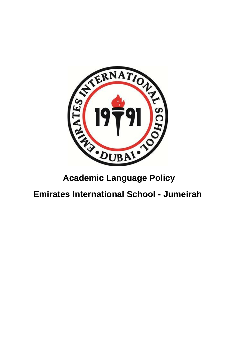

# **Emirates International School - Jumeirah**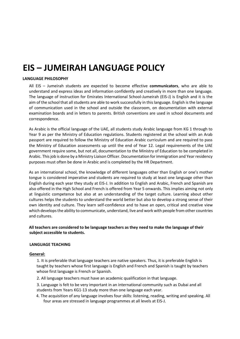# **EIS – JUMEIRAH LANGUAGE POLICY**

### **LANGUAGE PHILOSOPHY**

All EIS – Jumeirah students are expected to become effective **communicators**, who are able to understand and express ideas and information confidently and creatively in more than one language. The language of instruction for Emirates International School-Jumeirah (EIS-J) is English and it is the aim of the school that all students are able to work successfully in this language. English is the language of communication used in the school and outside the classroom, on documentation with external examination boards and in letters to parents. British conventions are used in school documents and correspondence.

As Arabic is the official language of the UAE, all students study Arabic language from KG 1 through to Year 9 as per the Ministry of Education regulations. Students registered at the school with an Arab passport are required to follow the Ministry of Education Arabic curriculum and are required to pass the Ministry of Education assessments up until the end of Year 12. Legal requirements of the UAE government require some, but not all, documentation to the Ministry of Education to be completed in Arabic. This job is done by a Ministry Liaison Officer. Documentation for immigration and Yearresidency purposes must often be done in Arabic and is completed by the HR Department.

As an international school, the knowledge of different languages other than English or one's mother tongue is considered imperative and students are required to study at least one language other than English during each year they study at EIS-J. In addition to English and Arabic, French and Spanish are also offered in the High School and French is offered from Year 5 onwards. This implies aiming not only at linguistic competence but also at an understanding of the target culture. Learning about other cultures helps the students to understand the world better but also to develop a strong sense of their own identity and culture. They learn self-confidence and to have an open, critical and creative view which develops the ability to communicate, understand, live and work with people from other countries and cultures.

#### **All teachers are considered to be language teachers as they need to make the language of their subject accessible to students.**

#### **LANGUAGE TEACHING**

#### **General:**

1. It is preferable that language teachers are native speakers. Thus, it is preferable English is taught by teachers whose first language is English and French and Spanish is taught by teachers whose first language is French or Spanish.

2. All language teachers must have an academic qualification in that language.

3. Language is felt to be very important in an international community such as Dubai and all students from Years KG1-13 study more than one language each year.

4. The acquisition of any language involves four skills: listening, reading, writing and speaking. All four areas are stressed in language programmes at all levels at EIS-J.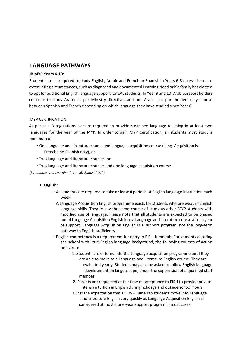## **LANGUAGE PATHWAYS**

#### **IB MYP Years 6-10:**

Students are all required to study English, Arabic and French or Spanish in Years 6-8 unless there are extenuating circumstances, such as diagnosed and documented Learning Need or if a family has elected to opt for additional English language support for EAL students. In Year 9 and 10, Arab passport holders continue to study Arabic as per Ministry directives and non-Arabic passport holders may choose between Spanish and French depending on which language they have studied since Year 6.

#### MYP CERTIFICATION

As per the IB regulations, we are required to provide sustained language teaching in at least two languages for the year of the MYP. In order to gain MYP Certification, all students must study a minimum of:

- ∙ One language and literature course and language acquisition course (Lang. Acquisition is French and Spanish only), or
- ∙ Two language and literature courses, or
- ∙ Two language and literature courses and one language acquisition course.

(*Languages and Learning in the IB, August 2012)* .

#### 1. **English:**

- ∙ All students are required to take **at least** 4 periods of English language instruction each week.
- ∙ A Language Acquisition English programme exists for students who are weak in English language skills. They follow the same course of study as other MYP students with modified use of language. Please note that all students are expected to be phased out of Language Acquisition English into a Language and Literature course after a year of support. Language Acquisition English is a support program, not the long-term pathway to English proficiency.
- ∙ English competency is a requirement for entry in EIS Jumeirah. For students entering the school with little English language background, the following courses of action are taken:
	- 1. Students are entered into the Language acquisition programme until they are able to move to a Language and Literature English course. They are evaluated yearly. Students may also be asked to follow English language development on Linguascope, under the supervision of a qualified staff member.
	- 2. Parents are requested at the time of acceptance to EIS-J to provide private intensive tuition in English during holidays and outside school hours.
	- 3. It is the expectation that all EIS Jumeirah students move into Language and Literature English very quickly as Language Acquisition English is considered at most a one-year support program in most cases.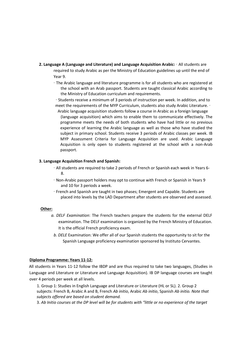- **2. Language A (Language and Literature) and Language Acquisition Arabic:** ∙ All students are required to study Arabic as per the Ministry of Education guidelines up until the end of Year 9.
	- ∙ The Arabic language and literature programme is for all students who are registered at the school with an Arab passport. Students are taught classical Arabic according to the Ministry of Education curriculum and requirements.
	- ∙ Students receive a minimum of 3 periods of instruction per week. In addition, and to meet the requirements of the MYP Curriculum, students also study Arabic Literature. ∙
		- Arabic language acquisition students follow a course in Arabic as a foreign language (language acquisition) which aims to enable them to communicate effectively. The programme meets the needs of both students who have had little or no previous experience of learning the Arabic language as well as those who have studied the subject in primary school. Students receive 3 periods of Arabic classes per week. IB MYP Assessment Criteria for Language Acquisition are used. Arabic Language Acquisition is only open to students registered at the school with a non-Arab passport.

#### **3. Language Acquisition French and Spanish:**

- ∙ All students are required to take 2 periods of French or Spanish each week in Years 6- 8.
- ∙ Non-Arabic passport holders may opt to continue with French or Spanish in Years 9 and 10 for 3 periods a week.
- ∙ French and Spanish are taught in two phases; Emergent and Capable. Students are placed into levels by the LAD Department after students are observed and assessed.

#### **Other:**

- *a. DELF Examination*: The French teachers prepare the students for the external DELF examination. The DELF examination is organized by the French Ministry of Education. It is the official French proficiency exam.
	- *b. DELE* Examination: We offer all of our Spanish students the opportunity to sit for the Spanish Language proficiency examination sponsored by Instituto Cervantes.

#### **Diploma Programme: Years 11-12:**

All students in Years 11-12 follow the IBDP and are thus required to take two languages, (Studies in Language and Literature or Literature and Language Acquisition). IB DP language courses are taught over 4 periods per week at all levels.

1. Group 1: Studies in English Language and Literature or Literature (HL or SL). 2. Group 2 subjects: French B, Arabic A and B, French *Ab initio*, Arabic *Ab initio*, Spanish *Ab initio. Note that subjects offered are based on student demand.* 

3. *Ab Initio courses at the DP level will be for students with "little or no experience of the target*